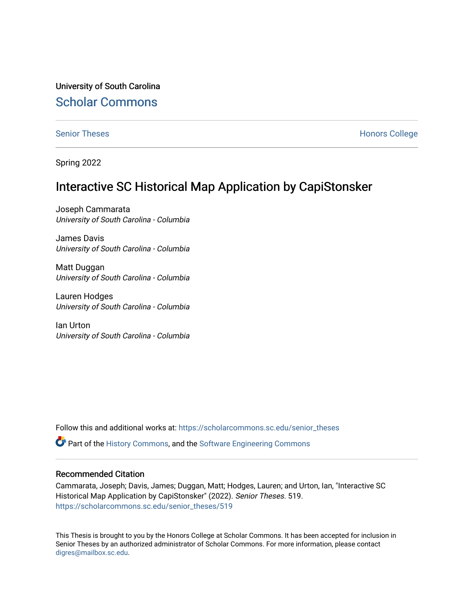University of South Carolina [Scholar Commons](https://scholarcommons.sc.edu/) 

[Senior Theses](https://scholarcommons.sc.edu/senior_theses) **Honors College** Honors College

Spring 2022

# Interactive SC Historical Map Application by CapiStonsker

Joseph Cammarata University of South Carolina - Columbia

James Davis University of South Carolina - Columbia

Matt Duggan University of South Carolina - Columbia

Lauren Hodges University of South Carolina - Columbia

Ian Urton University of South Carolina - Columbia

Follow this and additional works at: [https://scholarcommons.sc.edu/senior\\_theses](https://scholarcommons.sc.edu/senior_theses?utm_source=scholarcommons.sc.edu%2Fsenior_theses%2F519&utm_medium=PDF&utm_campaign=PDFCoverPages) 

 $\bullet$  Part of the [History Commons,](http://network.bepress.com/hgg/discipline/489?utm_source=scholarcommons.sc.edu%2Fsenior_theses%2F519&utm_medium=PDF&utm_campaign=PDFCoverPages) and the Software Engineering Commons

#### Recommended Citation

Cammarata, Joseph; Davis, James; Duggan, Matt; Hodges, Lauren; and Urton, Ian, "Interactive SC Historical Map Application by CapiStonsker" (2022). Senior Theses. 519. [https://scholarcommons.sc.edu/senior\\_theses/519](https://scholarcommons.sc.edu/senior_theses/519?utm_source=scholarcommons.sc.edu%2Fsenior_theses%2F519&utm_medium=PDF&utm_campaign=PDFCoverPages) 

This Thesis is brought to you by the Honors College at Scholar Commons. It has been accepted for inclusion in Senior Theses by an authorized administrator of Scholar Commons. For more information, please contact [digres@mailbox.sc.edu](mailto:digres@mailbox.sc.edu).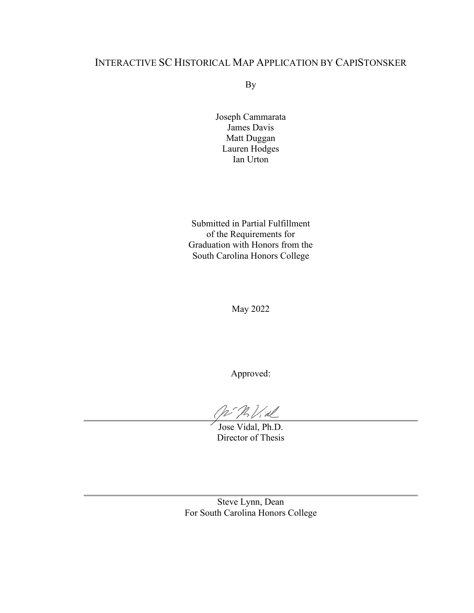## INTERACTIVE SC HISTORICAL MAP APPLICATION BY CAPISTONSKER

By

Joseph Cammarata James Davis Matt Duggan Lauren Hodges Ian Urton

Submitted in Partial Fulfillment of the Requirements for Graduation with Honors from the South Carolina Honors College

May 2022

Approved:

 $\mathcal{P}_{\mathcal{A}}$   $\mathcal{V}_{\mathcal{A}}$ 

Jose Vidal, Ph.D. Director of Thesis

Steve Lynn, Dean For South Carolina Honors College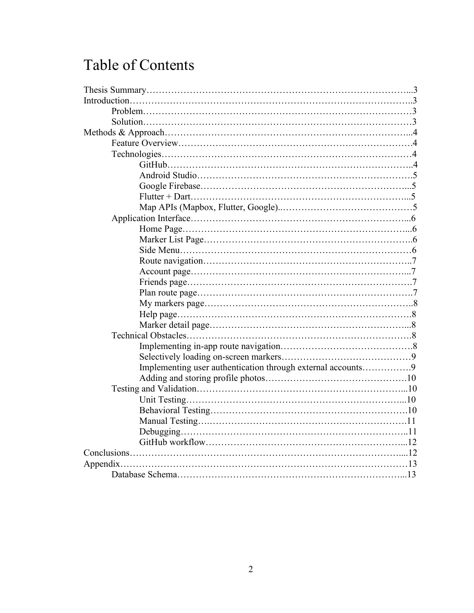# Table of Contents

| Implementing user authentication through external accounts9 |  |
|-------------------------------------------------------------|--|
|                                                             |  |
|                                                             |  |
|                                                             |  |
|                                                             |  |
|                                                             |  |
|                                                             |  |
|                                                             |  |
|                                                             |  |
|                                                             |  |
|                                                             |  |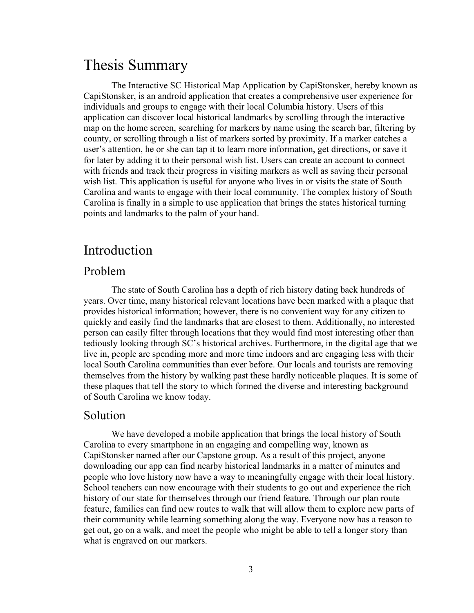# Thesis Summary

The Interactive SC Historical Map Application by CapiStonsker, hereby known as CapiStonsker, is an android application that creates a comprehensive user experience for individuals and groups to engage with their local Columbia history. Users of this application can discover local historical landmarks by scrolling through the interactive map on the home screen, searching for markers by name using the search bar, filtering by county, or scrolling through a list of markers sorted by proximity. If a marker catches a user's attention, he or she can tap it to learn more information, get directions, or save it for later by adding it to their personal wish list. Users can create an account to connect with friends and track their progress in visiting markers as well as saving their personal wish list. This application is useful for anyone who lives in or visits the state of South Carolina and wants to engage with their local community. The complex history of South Carolina is finally in a simple to use application that brings the states historical turning points and landmarks to the palm of your hand.

# Introduction

#### Problem

The state of South Carolina has a depth of rich history dating back hundreds of years. Over time, many historical relevant locations have been marked with a plaque that provides historical information; however, there is no convenient way for any citizen to quickly and easily find the landmarks that are closest to them. Additionally, no interested person can easily filter through locations that they would find most interesting other than tediously looking through SC's historical archives. Furthermore, in the digital age that we live in, people are spending more and more time indoors and are engaging less with their local South Carolina communities than ever before. Our locals and tourists are removing themselves from the history by walking past these hardly noticeable plaques. It is some of these plaques that tell the story to which formed the diverse and interesting background of South Carolina we know today.

#### Solution

We have developed a mobile application that brings the local history of South Carolina to every smartphone in an engaging and compelling way, known as CapiStonsker named after our Capstone group. As a result of this project, anyone downloading our app can find nearby historical landmarks in a matter of minutes and people who love history now have a way to meaningfully engage with their local history. School teachers can now encourage with their students to go out and experience the rich history of our state for themselves through our friend feature. Through our plan route feature, families can find new routes to walk that will allow them to explore new parts of their community while learning something along the way. Everyone now has a reason to get out, go on a walk, and meet the people who might be able to tell a longer story than what is engraved on our markers.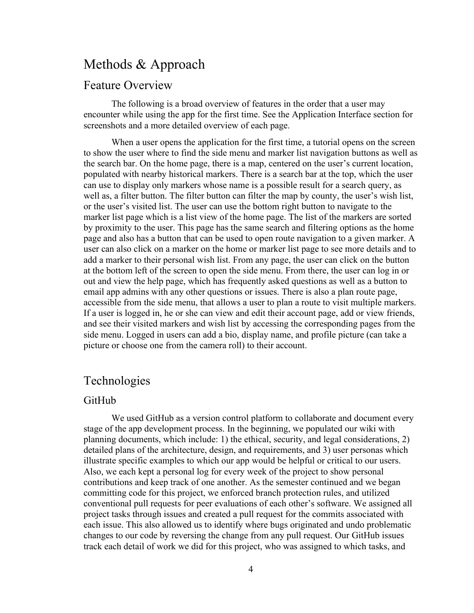# Methods & Approach

#### Feature Overview

The following is a broad overview of features in the order that a user may encounter while using the app for the first time. See the Application Interface section for screenshots and a more detailed overview of each page.

When a user opens the application for the first time, a tutorial opens on the screen to show the user where to find the side menu and marker list navigation buttons as well as the search bar. On the home page, there is a map, centered on the user's current location, populated with nearby historical markers. There is a search bar at the top, which the user can use to display only markers whose name is a possible result for a search query, as well as, a filter button. The filter button can filter the map by county, the user's wish list, or the user's visited list. The user can use the bottom right button to navigate to the marker list page which is a list view of the home page. The list of the markers are sorted by proximity to the user. This page has the same search and filtering options as the home page and also has a button that can be used to open route navigation to a given marker. A user can also click on a marker on the home or marker list page to see more details and to add a marker to their personal wish list. From any page, the user can click on the button at the bottom left of the screen to open the side menu. From there, the user can log in or out and view the help page, which has frequently asked questions as well as a button to email app admins with any other questions or issues. There is also a plan route page, accessible from the side menu, that allows a user to plan a route to visit multiple markers. If a user is logged in, he or she can view and edit their account page, add or view friends, and see their visited markers and wish list by accessing the corresponding pages from the side menu. Logged in users can add a bio, display name, and profile picture (can take a picture or choose one from the camera roll) to their account.

## Technologies

#### GitHub

We used GitHub as a version control platform to collaborate and document every stage of the app development process. In the beginning, we populated our wiki with planning documents, which include: 1) the ethical, security, and legal considerations, 2) detailed plans of the architecture, design, and requirements, and 3) user personas which illustrate specific examples to which our app would be helpful or critical to our users. Also, we each kept a personal log for every week of the project to show personal contributions and keep track of one another. As the semester continued and we began committing code for this project, we enforced branch protection rules, and utilized conventional pull requests for peer evaluations of each other's software. We assigned all project tasks through issues and created a pull request for the commits associated with each issue. This also allowed us to identify where bugs originated and undo problematic changes to our code by reversing the change from any pull request. Our GitHub issues track each detail of work we did for this project, who was assigned to which tasks, and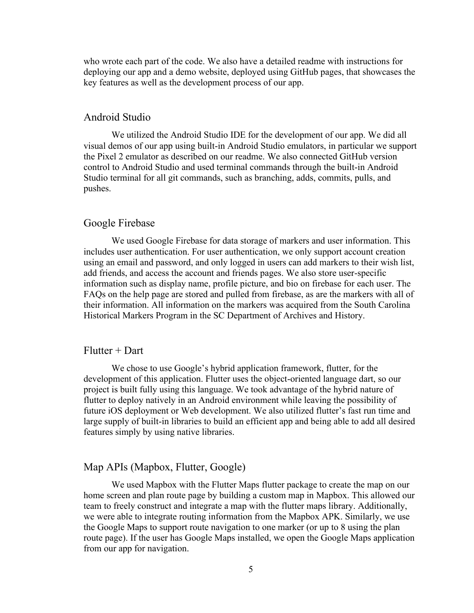who wrote each part of the code. We also have a detailed readme with instructions for deploying our app and a demo website, deployed using GitHub pages, that showcases the key features as well as the development process of our app.

#### Android Studio

We utilized the Android Studio IDE for the development of our app. We did all visual demos of our app using built-in Android Studio emulators, in particular we support the Pixel 2 emulator as described on our readme. We also connected GitHub version control to Android Studio and used terminal commands through the built-in Android Studio terminal for all git commands, such as branching, adds, commits, pulls, and pushes.

#### Google Firebase

We used Google Firebase for data storage of markers and user information. This includes user authentication. For user authentication, we only support account creation using an email and password, and only logged in users can add markers to their wish list, add friends, and access the account and friends pages. We also store user-specific information such as display name, profile picture, and bio on firebase for each user. The FAQs on the help page are stored and pulled from firebase, as are the markers with all of their information. All information on the markers was acquired from the South Carolina Historical Markers Program in the SC Department of Archives and History.

#### $Flutter + Dart$

We chose to use Google's hybrid application framework, flutter, for the development of this application. Flutter uses the object-oriented language dart, so our project is built fully using this language. We took advantage of the hybrid nature of flutter to deploy natively in an Android environment while leaving the possibility of future iOS deployment or Web development. We also utilized flutter's fast run time and large supply of built-in libraries to build an efficient app and being able to add all desired features simply by using native libraries.

#### Map APIs (Mapbox, Flutter, Google)

We used Mapbox with the Flutter Maps flutter package to create the map on our home screen and plan route page by building a custom map in Mapbox. This allowed our team to freely construct and integrate a map with the flutter maps library. Additionally, we were able to integrate routing information from the Mapbox APK. Similarly, we use the Google Maps to support route navigation to one marker (or up to 8 using the plan route page). If the user has Google Maps installed, we open the Google Maps application from our app for navigation.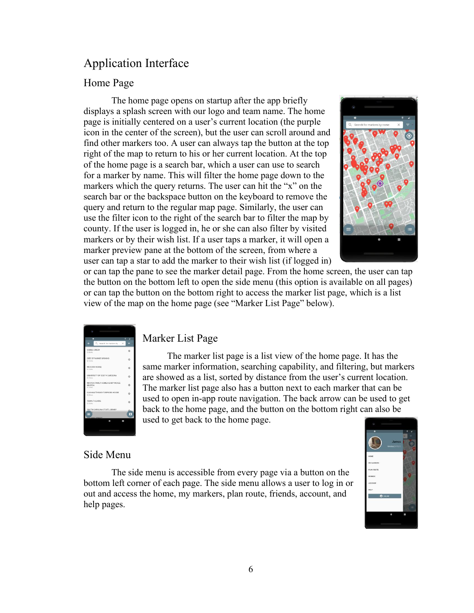# Application Interface

#### Home Page

The home page opens on startup after the app briefly displays a splash screen with our logo and team name. The home page is initially centered on a user's current location (the purple icon in the center of the screen), but the user can scroll around and find other markers too. A user can always tap the button at the top right of the map to return to his or her current location. At the top of the home page is a search bar, which a user can use to search for a marker by name. This will filter the home page down to the markers which the query returns. The user can hit the "x" on the search bar or the backspace button on the keyboard to remove the query and return to the regular map page. Similarly, the user can use the filter icon to the right of the search bar to filter the map by county. If the user is logged in, he or she can also filter by visited markers or by their wish list. If a user taps a marker, it will open a marker preview pane at the bottom of the screen, from where a user can tap a star to add the marker to their wish list (if logged in)



or can tap the pane to see the marker detail page. From the home screen, the user can tap the button on the bottom left to open the side menu (this option is available on all pages) or can tap the button on the bottom right to access the marker list page, which is a list view of the map on the home page (see "Marker List Page" below).

| ò.                                                  |   |
|-----------------------------------------------------|---|
| n<br>۰                                              | z |
| Q. Search for markers by  X                         | ≂ |
| GIRRES GREEN<br>D.DS mil.                           |   |
| SITE OF PARADE GROUND<br>$0.12$ mi.                 |   |
| MCCORD HOUSE<br>0.14 mL                             | Ġ |
| UNIVERSITY OF SOUTH CAROLINA<br>0.15 mi.            |   |
| MINTON FAMILY HOME/HENRY MCKEE<br>MINTON<br>0.10 mL |   |
| CAIN-MATTHEWS-TOMPKINS HOUSE<br>0.23 mi.            |   |
| TOWN THEATRE<br>0.23 mi                             |   |
| SOUTH CAROLINA STATE LIBRARY<br>$\equiv$            | ñ |
|                                                     |   |
|                                                     |   |

#### Marker List Page

The marker list page is a list view of the home page. It has the same marker information, searching capability, and filtering, but markers are showed as a list, sorted by distance from the user's current location. The marker list page also has a button next to each marker that can be used to open in-app route navigation. The back arrow can be used to get back to the home page, and the button on the bottom right can also be used to get back to the home page.

#### Side Menu

The side menu is accessible from every page via a button on the bottom left corner of each page. The side menu allows a user to log in or out and access the home, my markers, plan route, friends, account, and help pages.

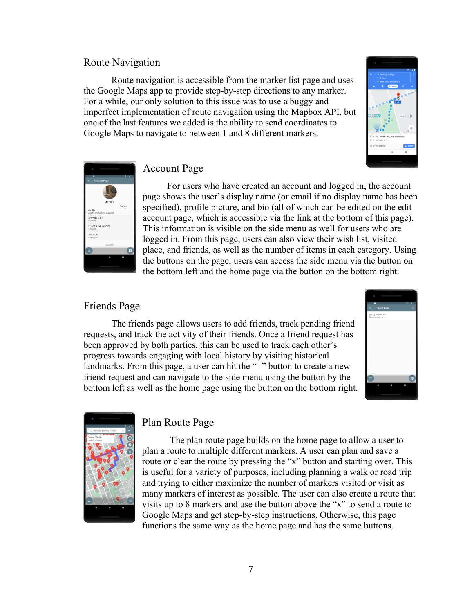#### Route Navigation

Route navigation is accessible from the marker list page and uses the Google Maps app to provide step-by-step directions to any marker. For a while, our only solution to this issue was to use a buggy and imperfect implementation of route navigation using the Mapbox API, but one of the last features we added is the ability to send coordinates to Google Maps to navigate to between 1 and 8 different markers.





#### Account Page

For users who have created an account and logged in, the account page shows the user's display name (or email if no display name has been specified), profile picture, and bio (all of which can be edited on the edit account page, which is accessible via the link at the bottom of this page). This information is visible on the side menu as well for users who are logged in. From this page, users can also view their wish list, visited place, and friends, as well as the number of items in each category. Using the buttons on the page, users can access the side menu via the button on the bottom left and the home page via the button on the bottom right.

#### Friends Page

The friends page allows users to add friends, track pending friend requests, and track the activity of their friends. Once a friend request has been approved by both parties, this can be used to track each other's progress towards engaging with local history by visiting historical landmarks. From this page, a user can hit the "+" button to create a new friend request and can navigate to the side menu using the button by the bottom left as well as the home page using the button on the bottom right.





#### Plan Route Page

The plan route page builds on the home page to allow a user to plan a route to multiple different markers. A user can plan and save a route or clear the route by pressing the "x" button and starting over. This is useful for a variety of purposes, including planning a walk or road trip and trying to either maximize the number of markers visited or visit as many markers of interest as possible. The user can also create a route that visits up to 8 markers and use the button above the " $x$ " to send a route to Google Maps and get step-by-step instructions. Otherwise, this page functions the same way as the home page and has the same buttons.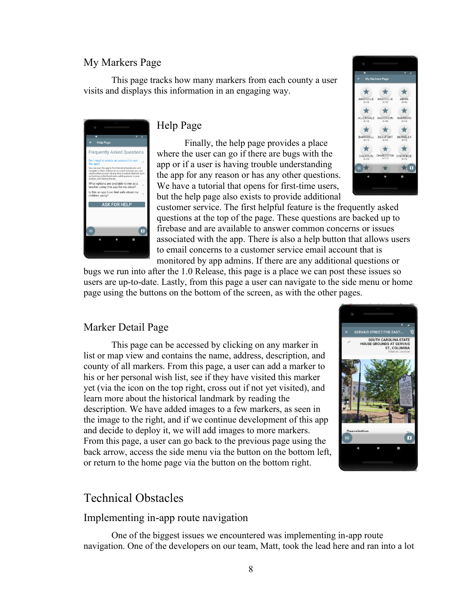#### My Markers Page

This page tracks how many markers from each county a user visits and displays this information in an engaging way.



#### Help Page

Finally, the help page provides a place where the user can go if there are bugs with the app or if a user is having trouble understanding the app for any reason or has any other questions. We have a tutorial that opens for first-time users, but the help page also exists to provide additional



customer service. The first helpful feature is the frequently asked questions at the top of the page. These questions are backed up to firebase and are available to answer common concerns or issues associated with the app. There is also a help button that allows users to email concerns to a customer service email account that is monitored by app admins. If there are any additional questions or

bugs we run into after the 1.0 Release, this page is a place we can post these issues so users are up-to-date. Lastly, from this page a user can navigate to the side menu or home page using the buttons on the bottom of the screen, as with the other pages.

#### Marker Detail Page

This page can be accessed by clicking on any marker in list or map view and contains the name, address, description, and county of all markers. From this page, a user can add a marker to his or her personal wish list, see if they have visited this marker yet (via the icon on the top right, cross out if not yet visited), and learn more about the historical landmark by reading the description. We have added images to a few markers, as seen in the image to the right, and if we continue development of this app and decide to deploy it, we will add images to more markers. From this page, a user can go back to the previous page using the back arrow, access the side menu via the button on the bottom left, or return to the home page via the button on the bottom right.



## Technical Obstacles

#### Implementing in-app route navigation

One of the biggest issues we encountered was implementing in-app route navigation. One of the developers on our team, Matt, took the lead here and ran into a lot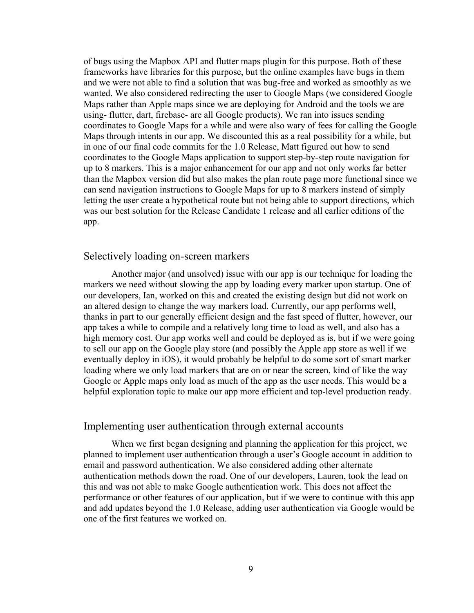of bugs using the Mapbox API and flutter maps plugin for this purpose. Both of these frameworks have libraries for this purpose, but the online examples have bugs in them and we were not able to find a solution that was bug-free and worked as smoothly as we wanted. We also considered redirecting the user to Google Maps (we considered Google Maps rather than Apple maps since we are deploying for Android and the tools we are using- flutter, dart, firebase- are all Google products). We ran into issues sending coordinates to Google Maps for a while and were also wary of fees for calling the Google Maps through intents in our app. We discounted this as a real possibility for a while, but in one of our final code commits for the 1.0 Release, Matt figured out how to send coordinates to the Google Maps application to support step-by-step route navigation for up to 8 markers. This is a major enhancement for our app and not only works far better than the Mapbox version did but also makes the plan route page more functional since we can send navigation instructions to Google Maps for up to 8 markers instead of simply letting the user create a hypothetical route but not being able to support directions, which was our best solution for the Release Candidate 1 release and all earlier editions of the app.

#### Selectively loading on-screen markers

Another major (and unsolved) issue with our app is our technique for loading the markers we need without slowing the app by loading every marker upon startup. One of our developers, Ian, worked on this and created the existing design but did not work on an altered design to change the way markers load. Currently, our app performs well, thanks in part to our generally efficient design and the fast speed of flutter, however, our app takes a while to compile and a relatively long time to load as well, and also has a high memory cost. Our app works well and could be deployed as is, but if we were going to sell our app on the Google play store (and possibly the Apple app store as well if we eventually deploy in iOS), it would probably be helpful to do some sort of smart marker loading where we only load markers that are on or near the screen, kind of like the way Google or Apple maps only load as much of the app as the user needs. This would be a helpful exploration topic to make our app more efficient and top-level production ready.

#### Implementing user authentication through external accounts

When we first began designing and planning the application for this project, we planned to implement user authentication through a user's Google account in addition to email and password authentication. We also considered adding other alternate authentication methods down the road. One of our developers, Lauren, took the lead on this and was not able to make Google authentication work. This does not affect the performance or other features of our application, but if we were to continue with this app and add updates beyond the 1.0 Release, adding user authentication via Google would be one of the first features we worked on.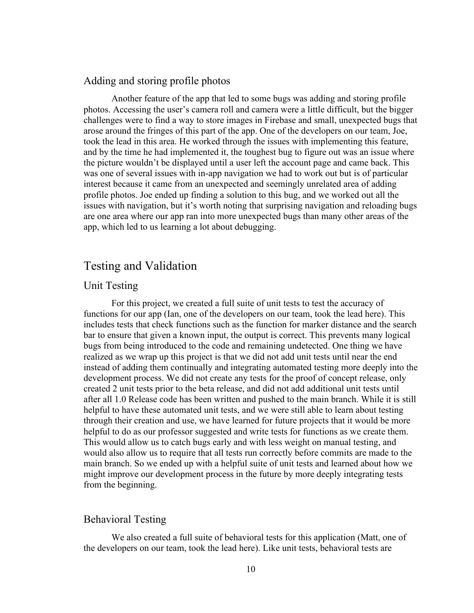#### Adding and storing profile photos

Another feature of the app that led to some bugs was adding and storing profile photos. Accessing the user's camera roll and camera were a little difficult, but the bigger challenges were to find a way to store images in Firebase and small, unexpected bugs that arose around the fringes of this part of the app. One of the developers on our team, Joe, took the lead in this area. He worked through the issues with implementing this feature, and by the time he had implemented it, the toughest bug to figure out was an issue where the picture wouldn't be displayed until a user left the account page and came back. This was one of several issues with in-app navigation we had to work out but is of particular interest because it came from an unexpected and seemingly unrelated area of adding profile photos. Joe ended up finding a solution to this bug, and we worked out all the issues with navigation, but it's worth noting that surprising navigation and reloading bugs are one area where our app ran into more unexpected bugs than many other areas of the app, which led to us learning a lot about debugging.

# Testing and Validation

#### Unit Testing

For this project, we created a full suite of unit tests to test the accuracy of functions for our app (Ian, one of the developers on our team, took the lead here). This includes tests that check functions such as the function for marker distance and the search bar to ensure that given a known input, the output is correct. This prevents many logical bugs from being introduced to the code and remaining undetected. One thing we have realized as we wrap up this project is that we did not add unit tests until near the end instead of adding them continually and integrating automated testing more deeply into the development process. We did not create any tests for the proof of concept release, only created 2 unit tests prior to the beta release, and did not add additional unit tests until after all 1.0 Release code has been written and pushed to the main branch. While it is still helpful to have these automated unit tests, and we were still able to learn about testing through their creation and use, we have learned for future projects that it would be more helpful to do as our professor suggested and write tests for functions as we create them. This would allow us to catch bugs early and with less weight on manual testing, and would also allow us to require that all tests run correctly before commits are made to the main branch. So we ended up with a helpful suite of unit tests and learned about how we might improve our development process in the future by more deeply integrating tests from the beginning.

#### Behavioral Testing

We also created a full suite of behavioral tests for this application (Matt, one of the developers on our team, took the lead here). Like unit tests, behavioral tests are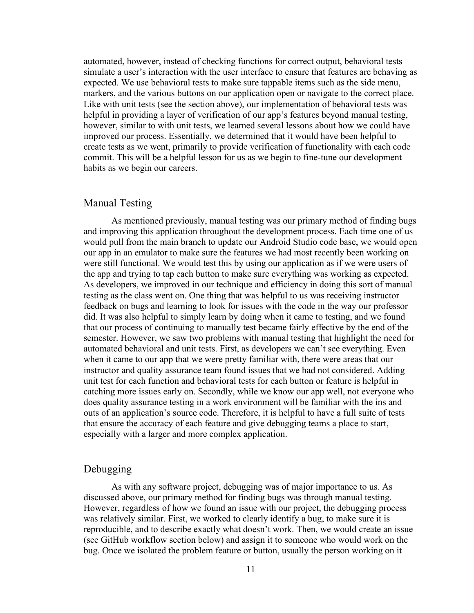automated, however, instead of checking functions for correct output, behavioral tests simulate a user's interaction with the user interface to ensure that features are behaving as expected. We use behavioral tests to make sure tappable items such as the side menu, markers, and the various buttons on our application open or navigate to the correct place. Like with unit tests (see the section above), our implementation of behavioral tests was helpful in providing a layer of verification of our app's features beyond manual testing, however, similar to with unit tests, we learned several lessons about how we could have improved our process. Essentially, we determined that it would have been helpful to create tests as we went, primarily to provide verification of functionality with each code commit. This will be a helpful lesson for us as we begin to fine-tune our development habits as we begin our careers.

#### Manual Testing

As mentioned previously, manual testing was our primary method of finding bugs and improving this application throughout the development process. Each time one of us would pull from the main branch to update our Android Studio code base, we would open our app in an emulator to make sure the features we had most recently been working on were still functional. We would test this by using our application as if we were users of the app and trying to tap each button to make sure everything was working as expected. As developers, we improved in our technique and efficiency in doing this sort of manual testing as the class went on. One thing that was helpful to us was receiving instructor feedback on bugs and learning to look for issues with the code in the way our professor did. It was also helpful to simply learn by doing when it came to testing, and we found that our process of continuing to manually test became fairly effective by the end of the semester. However, we saw two problems with manual testing that highlight the need for automated behavioral and unit tests. First, as developers we can't see everything. Even when it came to our app that we were pretty familiar with, there were areas that our instructor and quality assurance team found issues that we had not considered. Adding unit test for each function and behavioral tests for each button or feature is helpful in catching more issues early on. Secondly, while we know our app well, not everyone who does quality assurance testing in a work environment will be familiar with the ins and outs of an application's source code. Therefore, it is helpful to have a full suite of tests that ensure the accuracy of each feature and give debugging teams a place to start, especially with a larger and more complex application.

#### Debugging

As with any software project, debugging was of major importance to us. As discussed above, our primary method for finding bugs was through manual testing. However, regardless of how we found an issue with our project, the debugging process was relatively similar. First, we worked to clearly identify a bug, to make sure it is reproducible, and to describe exactly what doesn't work. Then, we would create an issue (see GitHub workflow section below) and assign it to someone who would work on the bug. Once we isolated the problem feature or button, usually the person working on it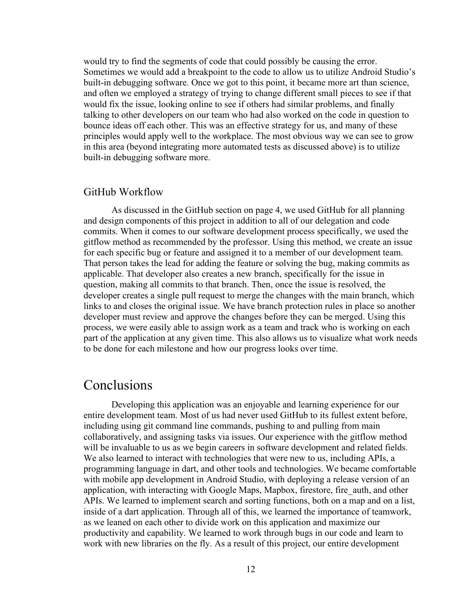would try to find the segments of code that could possibly be causing the error. Sometimes we would add a breakpoint to the code to allow us to utilize Android Studio's built-in debugging software. Once we got to this point, it became more art than science, and often we employed a strategy of trying to change different small pieces to see if that would fix the issue, looking online to see if others had similar problems, and finally talking to other developers on our team who had also worked on the code in question to bounce ideas off each other. This was an effective strategy for us, and many of these principles would apply well to the workplace. The most obvious way we can see to grow in this area (beyond integrating more automated tests as discussed above) is to utilize built-in debugging software more.

#### GitHub Workflow

As discussed in the GitHub section on page 4, we used GitHub for all planning and design components of this project in addition to all of our delegation and code commits. When it comes to our software development process specifically, we used the gitflow method as recommended by the professor. Using this method, we create an issue for each specific bug or feature and assigned it to a member of our development team. That person takes the lead for adding the feature or solving the bug, making commits as applicable. That developer also creates a new branch, specifically for the issue in question, making all commits to that branch. Then, once the issue is resolved, the developer creates a single pull request to merge the changes with the main branch, which links to and closes the original issue. We have branch protection rules in place so another developer must review and approve the changes before they can be merged. Using this process, we were easily able to assign work as a team and track who is working on each part of the application at any given time. This also allows us to visualize what work needs to be done for each milestone and how our progress looks over time.

# Conclusions

Developing this application was an enjoyable and learning experience for our entire development team. Most of us had never used GitHub to its fullest extent before, including using git command line commands, pushing to and pulling from main collaboratively, and assigning tasks via issues. Our experience with the gitflow method will be invaluable to us as we begin careers in software development and related fields. We also learned to interact with technologies that were new to us, including APIs, a programming language in dart, and other tools and technologies. We became comfortable with mobile app development in Android Studio, with deploying a release version of an application, with interacting with Google Maps, Mapbox, firestore, fire\_auth, and other APIs. We learned to implement search and sorting functions, both on a map and on a list, inside of a dart application. Through all of this, we learned the importance of teamwork, as we leaned on each other to divide work on this application and maximize our productivity and capability. We learned to work through bugs in our code and learn to work with new libraries on the fly. As a result of this project, our entire development